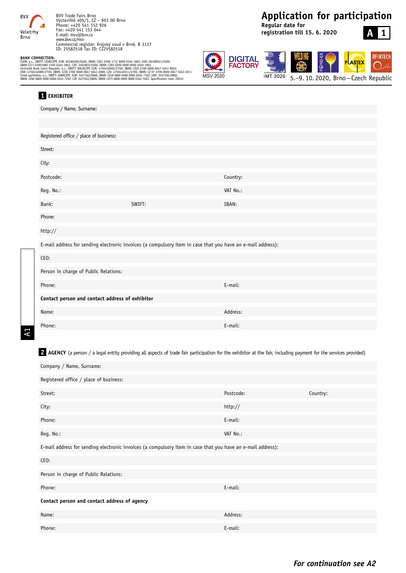

## **Application for participation**

**Regular date for registration till 15. 6. 2020**

# **A 1**

**SEINTECH** 



īΕX **IMT 2020** 5.–9. 10. 2020, Brno – Czech Republic

|  | ANK LUNNELIIUN: |                             |
|--|-----------------|-----------------------------|
|  |                 | 60B, a.s., SWIFT: CEKOCZPP, |

**BANK CONNECTION:**<br>(SOB, a.s., SWIFT: CEKOCZPP, EUR: 00180280/0300, IBAN: CZ91 0300 1712 8000 0340 1803; USD: 00180031/0300,<br>IBAN CZ11 03001880 3100 0340 1803, CZK: 3401803/0300, IBAN: CZ85 0300 0000 0000 0340 1803<br>UniCred Česká spořitelna, a.s., SWIFT: GIBACZPX, EUR: 3457102/0800, IBAN: CZ49 0800 0000 0000 0345 7102; USD: 3457292/0800,<br>IBAN: CZ60 0800 0000 0000 0345 7292, CZK 3457022/0800, IBAN: CZ75 0800 0000 0000 0345 7022, Specification

# **1 EXHIBITOR** Company / Name, Surname: Registered office / place of business: Street: City: Postcode: Country: Reg. No.: VAT No.: Bank: SWIFT: IBAN: Phone: http:// E-mail address for sending electronic invoices (a compulsory item in case that you have an e-mail address): CEO: Person in charge of Public Relations: Phone: E-mail: **Contact person and contact address of exhibitor**  Name: Address: Phone: E-mail:

A1

2 AGENCY (a person / a legal entity providing all aspects of trade fair participation for the exhibitor at the fair, including payment for the services provided)

| Company / Name, Surname:                                                                                    |           |          |  |  |  |  |
|-------------------------------------------------------------------------------------------------------------|-----------|----------|--|--|--|--|
| Registered office / place of business:                                                                      |           |          |  |  |  |  |
| Street:                                                                                                     | Postcode: | Country: |  |  |  |  |
| City:                                                                                                       | http://   |          |  |  |  |  |
| Phone:                                                                                                      | E-mail:   |          |  |  |  |  |
| Reg. No.:                                                                                                   | VAT No.:  |          |  |  |  |  |
| E-mail address for sending electronic invoices (a compulsory item in case that you have an e-mail address): |           |          |  |  |  |  |
| CEO:                                                                                                        |           |          |  |  |  |  |
| Person in charge of Public Relations:                                                                       |           |          |  |  |  |  |
| Phone:                                                                                                      | E-mail:   |          |  |  |  |  |
| Contact person and contact address of agency                                                                |           |          |  |  |  |  |
| Name:                                                                                                       | Address:  |          |  |  |  |  |
| Phone:                                                                                                      | E-mail:   |          |  |  |  |  |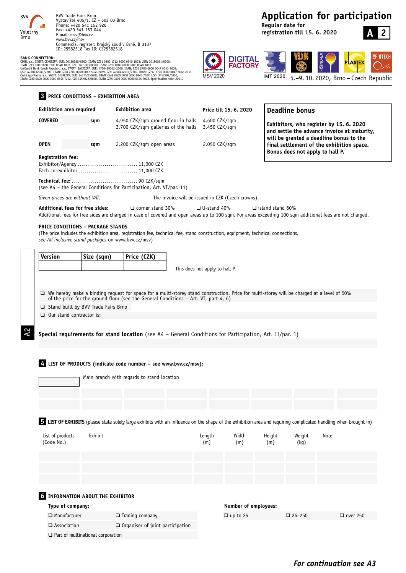

**BANK CONNECTION:**<br>CSOB, a.s., SWIFC: CEKOCZPP, EUR: 00180280/0300, IBAN: CZ91 0300 1712 8000 0340 1803; USD: 00180031/0300,<br>IBAN CZ11 03001880 3100 0340 1803, CZK: 3401803/0300, IBAN: CZ85 0300 0000 0000 0340 1803<br>UniCedi

### **3 PRICE CONDITIONS – EXHIBITION AREA**

## **Application for participation**

**Regular date for registration till 15. 6. 2020**



**SEINTECH** 

 $\bigcirc$ 



5.–9. 10. 2020, Brno – Czech Republic

| 4,950 CZK/sqm ground floor in halls<br>4,600 CZK/sqm<br>sqm<br>Exhibitors, who register by 15. 6. 2020<br>3,700 CZK/sqm galleries of the halls<br>3,450 CZK/sqm<br>will be granted a deadline bonus to the<br>2,200 CZK/sqm open areas<br>2,050 CZK/sqm<br>sqm<br>Bonus does not apply to hall P.<br>Each co-exhibitor  11,000 CZK<br>(see A4 - the General Conditions for Participation, Art. VI/par. 11)<br>Given prices are without VAT.<br>The invoice will be issued in CZK (Czech crowns).<br>Additional fees for free sides:<br>$\Box$ corner stand 30%<br>$\Box$ U-stand 40%<br>$\Box$ island stand 60%<br>Additional fees for free sides are charged in case of covered and open areas up to 100 sqm. For areas exceeding 100 sqm additional fees are not charged.<br><b>PRICE CONDITIONS - PACKAGE STANDS</b><br>(The price includes the exhibition area, registration fee, technical fee, stand construction, equipment, technical connections,<br>see All inclusive stand packages on www.bvv.cz/msv)<br>Version<br>Size (sqm)<br>Price (CZK)<br>This does not apply to hall P.<br>□ We hereby make a binding request for space for a multi-storey stand construction. Price for multi-storey will be charged at a level of 50%<br>of the price for the ground floor (see the General Conditions - Art. VI, part 4, 6)<br>Stand built by BVV Trade Fairs Brno<br>$\Box$ Our stand contractor is:<br>Special requirements for stand location (see A4 - General Conditions for Participation, Art. II/par. 1)<br>$\frac{1}{2}$ LIST OF PRODUCTS (indicate code number – see www.bvv.cz/msv):<br>Main branch with regards to stand location<br>5 LIST OF EXHIBITS (please state solely large exhibits with an influence on the shape of the exhibition area and requiring complicated handling when brought in)<br>List of products<br>Exhibit<br>Width<br>Height<br>Weight<br>Length<br>Note<br>(Code No.)<br>(m)<br>(m)<br>(m)<br>(kq)<br><b>6 INFORMATION ABOUT THE EXHIBITOR</b><br>Number of employees:<br>Type of company:<br>$\Box$ Manufacturer<br>$\Box$ Trading company<br>$\Box$ up to 25<br>$\Box$ over 250<br>$\Box$ 26-250 | and settle the advance invoice at maturity,<br>final settlement of the exhibition space.<br>$\square$ Association<br>$\Box$ Organiser of joint participation | <b>Exhibition area required</b> | <b>Exhibition area</b> | Price till 15. 6. 2020 | <b>Deadline bonus</b> |  |
|---------------------------------------------------------------------------------------------------------------------------------------------------------------------------------------------------------------------------------------------------------------------------------------------------------------------------------------------------------------------------------------------------------------------------------------------------------------------------------------------------------------------------------------------------------------------------------------------------------------------------------------------------------------------------------------------------------------------------------------------------------------------------------------------------------------------------------------------------------------------------------------------------------------------------------------------------------------------------------------------------------------------------------------------------------------------------------------------------------------------------------------------------------------------------------------------------------------------------------------------------------------------------------------------------------------------------------------------------------------------------------------------------------------------------------------------------------------------------------------------------------------------------------------------------------------------------------------------------------------------------------------------------------------------------------------------------------------------------------------------------------------------------------------------------------------------------------------------------------------------------------------------------------------------------------------------------------------------------------------------------------------------------------------------------------------------------------------------------------------------------------------------------|--------------------------------------------------------------------------------------------------------------------------------------------------------------|---------------------------------|------------------------|------------------------|-----------------------|--|
|                                                                                                                                                                                                                                                                                                                                                                                                                                                                                                                                                                                                                                                                                                                                                                                                                                                                                                                                                                                                                                                                                                                                                                                                                                                                                                                                                                                                                                                                                                                                                                                                                                                                                                                                                                                                                                                                                                                                                                                                                                                                                                                                                   |                                                                                                                                                              | <b>COVERED</b>                  |                        |                        |                       |  |
|                                                                                                                                                                                                                                                                                                                                                                                                                                                                                                                                                                                                                                                                                                                                                                                                                                                                                                                                                                                                                                                                                                                                                                                                                                                                                                                                                                                                                                                                                                                                                                                                                                                                                                                                                                                                                                                                                                                                                                                                                                                                                                                                                   |                                                                                                                                                              | <b>OPEN</b>                     |                        |                        |                       |  |
|                                                                                                                                                                                                                                                                                                                                                                                                                                                                                                                                                                                                                                                                                                                                                                                                                                                                                                                                                                                                                                                                                                                                                                                                                                                                                                                                                                                                                                                                                                                                                                                                                                                                                                                                                                                                                                                                                                                                                                                                                                                                                                                                                   |                                                                                                                                                              | <b>Registration fee:</b>        |                        |                        |                       |  |
|                                                                                                                                                                                                                                                                                                                                                                                                                                                                                                                                                                                                                                                                                                                                                                                                                                                                                                                                                                                                                                                                                                                                                                                                                                                                                                                                                                                                                                                                                                                                                                                                                                                                                                                                                                                                                                                                                                                                                                                                                                                                                                                                                   |                                                                                                                                                              |                                 |                        |                        |                       |  |
|                                                                                                                                                                                                                                                                                                                                                                                                                                                                                                                                                                                                                                                                                                                                                                                                                                                                                                                                                                                                                                                                                                                                                                                                                                                                                                                                                                                                                                                                                                                                                                                                                                                                                                                                                                                                                                                                                                                                                                                                                                                                                                                                                   |                                                                                                                                                              |                                 |                        |                        |                       |  |
|                                                                                                                                                                                                                                                                                                                                                                                                                                                                                                                                                                                                                                                                                                                                                                                                                                                                                                                                                                                                                                                                                                                                                                                                                                                                                                                                                                                                                                                                                                                                                                                                                                                                                                                                                                                                                                                                                                                                                                                                                                                                                                                                                   |                                                                                                                                                              |                                 |                        |                        |                       |  |
|                                                                                                                                                                                                                                                                                                                                                                                                                                                                                                                                                                                                                                                                                                                                                                                                                                                                                                                                                                                                                                                                                                                                                                                                                                                                                                                                                                                                                                                                                                                                                                                                                                                                                                                                                                                                                                                                                                                                                                                                                                                                                                                                                   |                                                                                                                                                              |                                 |                        |                        |                       |  |
|                                                                                                                                                                                                                                                                                                                                                                                                                                                                                                                                                                                                                                                                                                                                                                                                                                                                                                                                                                                                                                                                                                                                                                                                                                                                                                                                                                                                                                                                                                                                                                                                                                                                                                                                                                                                                                                                                                                                                                                                                                                                                                                                                   |                                                                                                                                                              |                                 |                        |                        |                       |  |
|                                                                                                                                                                                                                                                                                                                                                                                                                                                                                                                                                                                                                                                                                                                                                                                                                                                                                                                                                                                                                                                                                                                                                                                                                                                                                                                                                                                                                                                                                                                                                                                                                                                                                                                                                                                                                                                                                                                                                                                                                                                                                                                                                   |                                                                                                                                                              |                                 |                        |                        |                       |  |
|                                                                                                                                                                                                                                                                                                                                                                                                                                                                                                                                                                                                                                                                                                                                                                                                                                                                                                                                                                                                                                                                                                                                                                                                                                                                                                                                                                                                                                                                                                                                                                                                                                                                                                                                                                                                                                                                                                                                                                                                                                                                                                                                                   |                                                                                                                                                              |                                 |                        |                        |                       |  |
|                                                                                                                                                                                                                                                                                                                                                                                                                                                                                                                                                                                                                                                                                                                                                                                                                                                                                                                                                                                                                                                                                                                                                                                                                                                                                                                                                                                                                                                                                                                                                                                                                                                                                                                                                                                                                                                                                                                                                                                                                                                                                                                                                   |                                                                                                                                                              |                                 |                        |                        |                       |  |
|                                                                                                                                                                                                                                                                                                                                                                                                                                                                                                                                                                                                                                                                                                                                                                                                                                                                                                                                                                                                                                                                                                                                                                                                                                                                                                                                                                                                                                                                                                                                                                                                                                                                                                                                                                                                                                                                                                                                                                                                                                                                                                                                                   |                                                                                                                                                              |                                 |                        |                        |                       |  |
|                                                                                                                                                                                                                                                                                                                                                                                                                                                                                                                                                                                                                                                                                                                                                                                                                                                                                                                                                                                                                                                                                                                                                                                                                                                                                                                                                                                                                                                                                                                                                                                                                                                                                                                                                                                                                                                                                                                                                                                                                                                                                                                                                   |                                                                                                                                                              |                                 |                        |                        |                       |  |
|                                                                                                                                                                                                                                                                                                                                                                                                                                                                                                                                                                                                                                                                                                                                                                                                                                                                                                                                                                                                                                                                                                                                                                                                                                                                                                                                                                                                                                                                                                                                                                                                                                                                                                                                                                                                                                                                                                                                                                                                                                                                                                                                                   |                                                                                                                                                              |                                 |                        |                        |                       |  |
|                                                                                                                                                                                                                                                                                                                                                                                                                                                                                                                                                                                                                                                                                                                                                                                                                                                                                                                                                                                                                                                                                                                                                                                                                                                                                                                                                                                                                                                                                                                                                                                                                                                                                                                                                                                                                                                                                                                                                                                                                                                                                                                                                   |                                                                                                                                                              |                                 |                        |                        |                       |  |
|                                                                                                                                                                                                                                                                                                                                                                                                                                                                                                                                                                                                                                                                                                                                                                                                                                                                                                                                                                                                                                                                                                                                                                                                                                                                                                                                                                                                                                                                                                                                                                                                                                                                                                                                                                                                                                                                                                                                                                                                                                                                                                                                                   |                                                                                                                                                              |                                 |                        |                        |                       |  |
|                                                                                                                                                                                                                                                                                                                                                                                                                                                                                                                                                                                                                                                                                                                                                                                                                                                                                                                                                                                                                                                                                                                                                                                                                                                                                                                                                                                                                                                                                                                                                                                                                                                                                                                                                                                                                                                                                                                                                                                                                                                                                                                                                   |                                                                                                                                                              |                                 |                        |                        |                       |  |
|                                                                                                                                                                                                                                                                                                                                                                                                                                                                                                                                                                                                                                                                                                                                                                                                                                                                                                                                                                                                                                                                                                                                                                                                                                                                                                                                                                                                                                                                                                                                                                                                                                                                                                                                                                                                                                                                                                                                                                                                                                                                                                                                                   |                                                                                                                                                              |                                 |                        |                        |                       |  |
|                                                                                                                                                                                                                                                                                                                                                                                                                                                                                                                                                                                                                                                                                                                                                                                                                                                                                                                                                                                                                                                                                                                                                                                                                                                                                                                                                                                                                                                                                                                                                                                                                                                                                                                                                                                                                                                                                                                                                                                                                                                                                                                                                   |                                                                                                                                                              |                                 |                        |                        |                       |  |
|                                                                                                                                                                                                                                                                                                                                                                                                                                                                                                                                                                                                                                                                                                                                                                                                                                                                                                                                                                                                                                                                                                                                                                                                                                                                                                                                                                                                                                                                                                                                                                                                                                                                                                                                                                                                                                                                                                                                                                                                                                                                                                                                                   |                                                                                                                                                              |                                 |                        |                        |                       |  |
|                                                                                                                                                                                                                                                                                                                                                                                                                                                                                                                                                                                                                                                                                                                                                                                                                                                                                                                                                                                                                                                                                                                                                                                                                                                                                                                                                                                                                                                                                                                                                                                                                                                                                                                                                                                                                                                                                                                                                                                                                                                                                                                                                   |                                                                                                                                                              |                                 |                        |                        |                       |  |

MSV 2020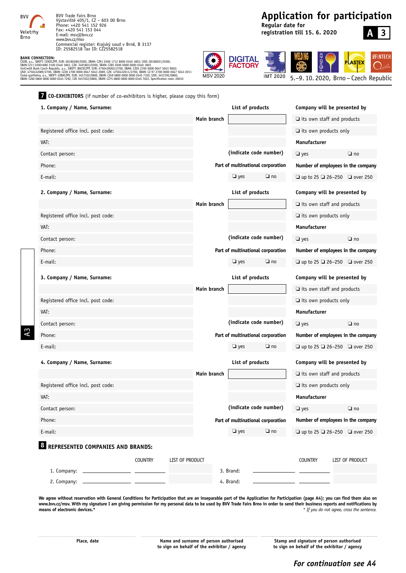

A3

BVV Trade Fairs Brno Výstaviště 405/1, CZ – 603 00 Brno Phone: +420 541 152 926 Fax: +420 541 153 044 E-mail: msv@bvv.cz www.bvv.cz/msv Commercial register: Krajský soud v Brně, B 3137 ID: 25582518 Tax ID: CZ25582518

**BANK CONNECTION:**<br>(SOB, a.s., SWIFT: CEKOCZPP, EUR: 00180280/0300, IBAN: CZ91 0300 1712 8000 0340 1803; USD: 00180031/0300,<br>IBAN CZ11 03001880 3100 0340 1803, CZK: 3401803/0300, IBAN: CZ85 0300 0000 0000 0340 1803<br>UniCred Česká spořitelna, a.s., SWIFT: GIBACZPX, EUR: 3457102/0800, IBAN: CZ49 0800 0000 0000 0345 7102; USD: 3457292/0800,<br>IBAN: CZ60 0800 0000 0000 0345 7292, CZK 3457022/0800, IBAN: CZ75 0800 0000 0000 0345 7022, Specification

## **Application for participation**

**Regular date for registration till 15. 6. 2020**

# **A 3**

**SEINTECH** 



5.–9. 10. 2020, Brno – Czech Republic

**7 CO-EXHIBITORS** (if number of co-exhibitors is higher, please copy this form)

| 1. Company / Name, Surname:                    |                |                        |             | List of products |                                   | Company will be presented by                  |                        |
|------------------------------------------------|----------------|------------------------|-------------|------------------|-----------------------------------|-----------------------------------------------|------------------------|
|                                                |                |                        | Main branch |                  |                                   | $\Box$ its own staff and products             |                        |
| Registered office incl. post code:             |                |                        |             |                  |                                   | $\Box$ its own products only                  |                        |
| VAT:                                           |                |                        |             |                  |                                   | <b>Manufacturer</b>                           |                        |
| Contact person:                                |                |                        |             |                  | (indicate code number)            | $\Box$ yes                                    | $\Box$ no              |
| Phone:                                         |                |                        |             |                  | Part of multinational corporation | Number of employees in the company            |                        |
| E-mail:                                        |                |                        |             | $\Box$ yes       | $\Box$ no                         | $\Box$ up to 25 $\Box$ 26-250 $\Box$ over 250 |                        |
| 2. Company / Name, Surname:                    |                |                        |             | List of products |                                   | Company will be presented by                  |                        |
|                                                |                |                        | Main branch |                  |                                   | $\Box$ its own staff and products             |                        |
| Registered office incl. post code:             |                |                        |             |                  |                                   | $\Box$ its own products only                  |                        |
| VAT:                                           |                |                        |             |                  |                                   | Manufacturer                                  |                        |
| Contact person:                                |                |                        |             |                  | (indicate code number)            | $\Box$ yes                                    | $\Box$ no              |
| Phone:                                         |                |                        |             |                  | Part of multinational corporation | Number of employees in the company            |                        |
| E-mail:                                        |                |                        |             | $\Box$ yes       | $\Box$ no                         | $\Box$ up to 25 $\Box$ 26-250 $\Box$ over 250 |                        |
| 3. Company / Name, Surname:                    |                |                        |             | List of products |                                   | Company will be presented by                  |                        |
|                                                |                |                        | Main branch |                  |                                   | $\Box$ its own staff and products             |                        |
| Registered office incl. post code:             |                |                        |             |                  |                                   | $\Box$ its own products only                  |                        |
| VAT:                                           |                |                        |             |                  |                                   | Manufacturer                                  |                        |
| Contact person:                                |                |                        |             |                  | (indicate code number)            | $\Box$ yes                                    | $\Box$ no              |
| Phone:                                         |                |                        |             |                  | Part of multinational corporation | Number of employees in the company            |                        |
| E-mail:                                        |                |                        |             | $\Box$ yes       | $\Box$ no                         | $\Box$ up to 25 $\Box$ 26-250 $\Box$ over 250 |                        |
| 4. Company / Name, Surname:                    |                |                        |             | List of products |                                   | Company will be presented by                  |                        |
|                                                |                |                        | Main branch |                  |                                   | $\Box$ its own staff and products             |                        |
| Registered office incl. post code:             |                |                        |             |                  |                                   | $\Box$ its own products only                  |                        |
| VAT:                                           |                |                        |             |                  |                                   | <b>Manufacturer</b>                           |                        |
| Contact person:                                |                |                        |             |                  | (indicate code number)            | $\Box$ yes                                    | $\Box$ no              |
| Phone:                                         |                |                        |             |                  | Part of multinational corporation | Number of employees in the company            |                        |
| E-mail:                                        |                |                        |             | $\Box$ yes       | $\Box$ no                         | $\Box$ up to 25 $\Box$ 26-250 $\Box$ over 250 |                        |
| <b>&amp; REPRESENTED COMPANIES AND BRANDS:</b> |                |                        |             |                  |                                   |                                               |                        |
|                                                | <b>COUNTRY</b> | <b>LIST OF PRODUCT</b> |             |                  |                                   | <b>COUNTRY</b>                                | <b>LIST OF PRODUCT</b> |
|                                                |                |                        |             | 3. Brand:        |                                   |                                               |                        |
|                                                |                |                        |             | 4. Brand:        |                                   |                                               |                        |

We agree without reservation with General Conditions for Participation that are an inseparable part of the Application for Participation (page A4); you can find them also on www.bvv.cz/msv. With my signature I am giving permission for my personal data to be used by BVV Trade Fairs Brno in order to send their business reports and notifications by means of electronic devices.\*<br>If you do not agre **means of electronic devices.\*** *\* If you do not agree, cross the sentence.*

Place, date **Name and surname of person authorised** Stamp and signature of person authorised<br>to sign on behalf of the exhibitor / agency to sign on behalf of the exhibitor / agency **to sign on behalf of the exhibitor / agency to sign on behalf of the exhibitor / agency**

### *For continuation see A4*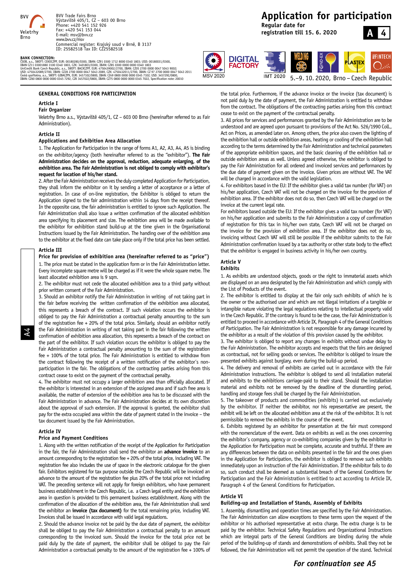

**BANK CONNECTION:**<br>(SOB, a.s., SWIFT: CEKOCZPP, EUR: 00180280/0300, IBAN: CZ91 0300 1712 8000 0340 1803; USD: 00180031/0300,<br>IBAN CZ11 03001880 3100 0340 1803, CZK: 3401803/0300, IBAN: CZ85 0300 0000 0000 0340 1803<br>UniCred Česká spořitelna, a.s., SWIFT: GIBACZPX, EUR: 3457102/0800, IBAN: CZ49 0800 0000 0000 0345 7102; USD: 3457292/0800,<br>IBAN: CZ60 0800 0000 0000 0345 7292, CZK 3457022/0800, IBAN: CZ75 0800 0000 0000 0345 7022, Specification



#### **Article I**

#### **Fair Organizer**

Veletrhy Brno a.s., Výstaviště 405/1, CZ – 603 00 Brno (hereinafter referred to as Fair Administration).

#### **Article II**

#### **Applications and Exhibition Area Allocation**

1. The Application for Participation in the range of forms A1, A2, A3, A4, A5 is binding on the exhibitor/agency (both hereinafter referred to as the "exhibitor"). **The Fair Administration decides on the approval, reduction, adequate enlarging, of the exhibition area. The Fair Administration is not obliged to comply with exhibitor's request for location of his/her stand.** 

2. After the Fair Administration receives the duly completed Application for Participation, they shall inform the exhibitor on it by sending a letter of acceptance or a letter of registration. In case of on-line registration, the Exhibitor is obliged to return the Application signed to the fair administration within 14 days from the receipt thereof. In the opposite case, the fair administration is entitled to ignore such Application. The Fair Administration shall also issue a written confirmation of the allocated exhibition area specifying its placement and size. The exhibition area will be made available to the exhibitor for exhibition stand build-up at the time given in the Organisational Instructions issued by the Fair Administration. The handing over of the exhibition area to the exhibitor at the fixed date can take place only if the total price has been settled.

#### **Article III**

A4

#### **Price for provision of exhibition area (hereinafter referred to as "price")**

1. The price must be stated in the application form or in the Fair Administration letter. Every incomplete square metre will be charged as if it were the whole square metre. The least allocated exhibition area is 9 sqm.

2. The exhibitor must not cede the allocated exhibition area to a third party without prior written consent of the Fair Administration.

3. Should an exhibitor notify the Fair Administration in writing of not taking part in the fair before receiving the written confirmation of the exhibition area allocated, this represents a breach of the contract. If such violation occurs the exhibitor is obliged to pay the Fair Administration a contractual penalty amounting to the sum of the registration fee + 20% of the total price. Similarly, should an exhibitor notify the Fair Administration in writing of not taking part in the fair following the written confirmation of exhibition area allocation, this represents a breach of the contract on the part of the exhibitor. If such violation occurs the exhibitor is obliged to pay the Fair Administration a contractual penalty amounting to the sum of the registration fee + 100% of the total price. The Fair Administration is entitled to withdraw from the contract following the receipt of a written notification of the exhibitor´s nonparticipation in the fair. The obligations of the contracting parties arising from this contract cease to exist on the payment of the contractual penalty.

4. The exhibitor must not occupy a larger exhibition area than officially allocated. If the exhibitor is interested in an extension of the assigned area and if such free area is available, the matter of extension of the exhibition area has to be discussed with the Fair Administration in advance. The Fair Administration decides at its own discretion about the approval of such extension. If the approval is granted, the exhibitor shall pay for the extra occupied area within the date of payment stated in the invoice – the tax document issued by the Fair Administration.

#### **Article IV**

#### **Price and Payment Conditions**

1. Along with the written notification of the receipt of the Application for Participation in the fair, the Fair Administration shall send the exhibitor an **advance invoice** to an amount corresponding to the registration fee + 20% of the total price, including VAT. The registration fee also includes the use of space in the electronic catalogue for the given fair. Exhibitors registered for tax purpose outside the Czech Republic will be invoiced an advance to the amount of the registration fee plus 20% of the total price not including VAT. The preceding sentence will not apply for foreign exhibitors, who have permanent business establishment in the Czech Republic, i.e. a Czech legal entity and the exhibition area in question is provided to this permanent business establishment. Along with the confirmation of the allocation of the exhibition area, the Fair Administration shall send the exhibitor an **invoice (tax document)** for the total remaining price, including VAT. Invoices shall be issued in accordance with valid legal regulations.

2. Should the advance invoice not be paid by the due date of payment, the exhibitor shall be obliged to pay the Fair Administration a contractual penalty to an amount corresponding to the invoiced sum. Should the invoice for the total price not be paid duly by the date of payment, the exhibitor shall be obliged to pay the Fair Administration a contractual penalty to the amount of the registration fee + 100% of

### **Application for participation**

**Regular date for registration till 15. 6. 2020**





 $\epsilon$ . cease to exist on the payment of the contractual penalty. the total price. Furthermore, if the advance invoice or the invoice (tax document) is not paid duly by the date of payment, the Fair Administration is entitled to withdraw from the contract. The obligations of the contracting parties arising from this contract

3. All prices for services and performances granted by the Fair Administration are to be understood and are agreed upon pursuant to provisions of the Act No. 526/1990 Coll., Act on Prices, as amended later on. Among others, the price also covers the lighting of the exhibition hall or outside exhibition areas, heating or cooling of the exhibition hall according to the terms determined by the Fair Administration and technical parameters of the appropriate exhibition spaces, and the basic cleaning of the exhibition hall or outside exhibition areas as well. Unless agreed otherwise, the exhibitor is obliged to pay the Fair Administration for all ordered and invoiced services and performances by the due date of payment given on the invoice. Given prices are without VAT. The VAT will be charged in accordance with the valid legislation.

4. For exhibitors based in the EU: If the exhibitor gives a valid tax number (for VAT) on his/her application, Czech VAT will not be charged on the invoice for the provision of exhibition area. If the exhibitor does not do so, then Czech VAT will be charged on the invoice at the current legal rate.

For exhibitors based outside the EU: If the exhibitor gives a valid tax number (for VAT) on his/her application and submits to the Fair Administration a copy of confirmation of registration for this tax in his/her own state, Czech VAT will not be charged on the invoice for the provision of exhibition area. If the exhibitor does not do so, invoicing without Czech VAT will still be possible if the exhibitor submits to the Fair Administration confirmation issued by a tax authority or other state body to the effect that the exhibitor is engaged in business activity in his/her own country.

### **Article V**

#### **Exhibits**

1. As exhibits are understood objects, goods or the right to immaterial assets which are displayed on an area designated by the Fair Administration and which comply with the List of Products of the event.

2. The exhibitor is entitled to display at the fair only such exhibits of which he is the owner or the authorised user and which are not illegal imitations of a tangible or intangible nature violating the legal regulations relating to intellectual property valid in the Czech Republic. If the contrary is found to be the case, the Fair Administration is entitled to proceed in accordance with Article IX, Paragraph 4 of the General Conditions of Participation. The Fair Administration is not responsible for any damage incurred by the exhibitor as a result of the violation of this provision caused by the exhibitor.

3. The exhibitor is obliged to report any changes in exhibits without undue delay to the Fair Administration. The exhibitor accepts and respects that the fairs are designed as contractual, not for selling goods or services. The exhibitor is obliged to insure the presented exhibits against burglary, even during the build-up period.

4. The delivery and removal of exhibits are carried out in accordance with the Fair Administration instructions. The exhibitor is obliged to send all installation material and exhibits to the exhibitions carriage-paid to their stand. Should the installation material and exhibits not be removed by the deadline of the dismantling period, handling and storage fees shall be charged by the Fair Administration.

5. The takeover of products and commodities (exhibits) is carried out exclusively by the exhibitor. If neither the exhibitor, nor his representative are present, the exhibit will be left on the allocated exhibition area at the risk of the exhibitor. It is not permissible to remove the exhibits in the course of the event.

6. Exhibits registered by an exhibitor for presentation at the fair must correspond with the nomenclature of the event. Data on exhibits as well as the ones concerning the exhibitor´s company, agency or co-exhibiting companies given by the exhibitor in the Application for Participation must be complete, accurate and truthful. If there are any differences between the data on exhibits presented in the fair and the ones given in the Application for Participation, the exhibitor is obliged to remove such exhibits immediately upon an instruction of the Fair Administration. If the exhibitor fails to do so, such conduct shall be deemed as substantial breach of the General Conditions for Participation and the Fair Administration is entitled to act according to Article IX, Paragraph 4 of the General Conditions for Participation.

#### **Article VI**

#### **Building-up and Installation of Stands, Assembly of Exhibits**

1. Assembly, dismantling and operation times are specified by the Fair Administration. The Fair Administration can allow exceptions to these terms upon the request of the exhibitor or his authorised representative at extra charge. The extra charge is to be paid by the exhibitor. Technical Safety Regulations and Organizational Instructions which are integral parts of the General Conditions are binding during the whole period of the building-up of stands and demonstrations of exhibits. Shall they not be followed, the Fair Administration will not permit the operation of the stand. Technical

### *For continuation see A5*